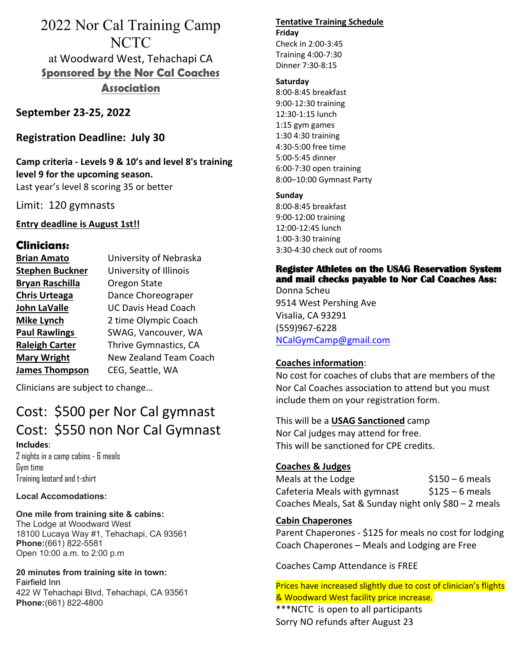# 2022 Nor Cal Training Camp NCTC at Woodward West, Tehachapi CA **Sponsored by the Nor Cal Coaches Association**

**September 23-25, 2022**

**Registration Deadline: July 30**

**Camp criteria - Levels 9 & 10's and level 8's training level 9 for the upcoming season.** Last year's level 8 scoring 35 or better

Limit: 120 gymnasts

## **Entry deadline is August 1st!!**

# **Clinicians:**

| <b>Brian Amato</b>     | University of Nebraska        |
|------------------------|-------------------------------|
| <b>Stephen Buckner</b> | University of Illinois        |
| <b>Bryan Raschilla</b> | Oregon State                  |
| <b>Chris Urteaga</b>   | Dance Choreograper            |
| <b>John LaValle</b>    | <b>UC Davis Head Coach</b>    |
| <b>Mike Lynch</b>      | 2 time Olympic Coach          |
| <b>Paul Rawlings</b>   | SWAG, Vancouver, WA           |
| <b>Raleigh Carter</b>  | Thrive Gymnastics, CA         |
| <b>Mary Wright</b>     | <b>New Zealand Team Coach</b> |
| <b>James Thompson</b>  | CEG, Seattle, WA              |

Clinicians are subject to change…

# Cost: \$500 per Nor Cal gymnast Cost: \$550 non Nor Cal Gymnast **Includes**:

2 nights in a camp cabins - 6 meals Gym time Training leotard and t-shirt

#### **Local Accomodations:**

#### **One mile from training site & cabins:**

The Lodge at Woodward West 18100 Lucaya Way #1, Tehachapi, CA 93561 **Phone:**(661) 822-5581 Open 10:00 a.m. to 2:00 p.m

**20 minutes from training site in town:** Fairfield Inn 422 W Tehachapi Blvd, Tehachapi, CA 93561 **Phone:**(661) 822-4800

#### **Tentative Training Schedule Friday**

Check in 2:00-3:45 Training 4:00-7:30 Dinner 7:30-8:15

#### **Saturday**

8:00-8:45 breakfast 9:00-12:30 training 12:30-1:15 lunch 1:15 gym games 1:30 4:30 training 4:30-5:00 free time 5:00-5:45 dinner 6:00-7:30 open training 8:00–10:00 Gymnast Party

#### **Sunday**

8:00-8:45 breakfast 9:00-12:00 training 12:00-12:45 lunch 1:00-3:30 training 3:30-4:30 check out of rooms

# **Register Athletes on the USAG Reservation System and mail checks payable to Nor Cal Coaches Ass:**

Donna Scheu 9514 West Pershing Ave Visalia, CA 93291 (559)967-6228 NCalGymCamp@gmail.com

### **Coaches information**:

No cost for coaches of clubs that are members of the Nor Cal Coaches association to attend but you must include them on your registration form.

# This will be a **USAG Sanctioned** camp

Nor Cal judges may attend for free. This will be sanctioned for CPE credits.

## **Coaches & Judges**

Meals at the Lodge  $$150 - 6$  meals Cafeteria Meals with gymnast  $$125 - 6$  meals Coaches Meals, Sat & Sunday night only \$80 – 2 meals

## **Cabin Chaperones**

Parent Chaperones - \$125 for meals no cost for lodging Coach Chaperones – Meals and Lodging are Free

#### Coaches Camp Attendance is FREE

Prices have increased slightly due to cost of clinician's flights & Woodward West facility price increase.

\*\*\*NCTC is open to all participants Sorry NO refunds after August 23